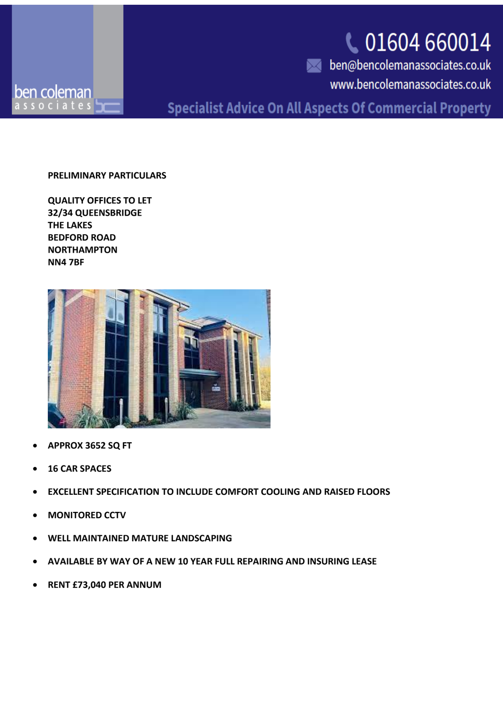# **C** 01604 660014



Sen@bencolemanassociates.co.uk www.bencolemanassociates.co.uk

**Specialist Advice On All Aspects Of Commercial Property** 

### **PRELIMINARY PARTICULARS**

**QUALITY OFFICES TO LET 32/34 QUEENSBRIDGE THE LAKES BEDFORD ROAD NORTHAMPTON NN4 7BF**



- **APPROX 3652 SQ FT**
- **16 CAR SPACES**
- **EXCELLENT SPECIFICATION TO INCLUDE COMFORT COOLING AND RAISED FLOORS**
- **MONITORED CCTV**
- **WELL MAINTAINED MATURE LANDSCAPING**
- **AVAILABLE BY WAY OF A NEW 10 YEAR FULL REPAIRING AND INSURING LEASE**
- **RENT £73,040 PER ANNUM**